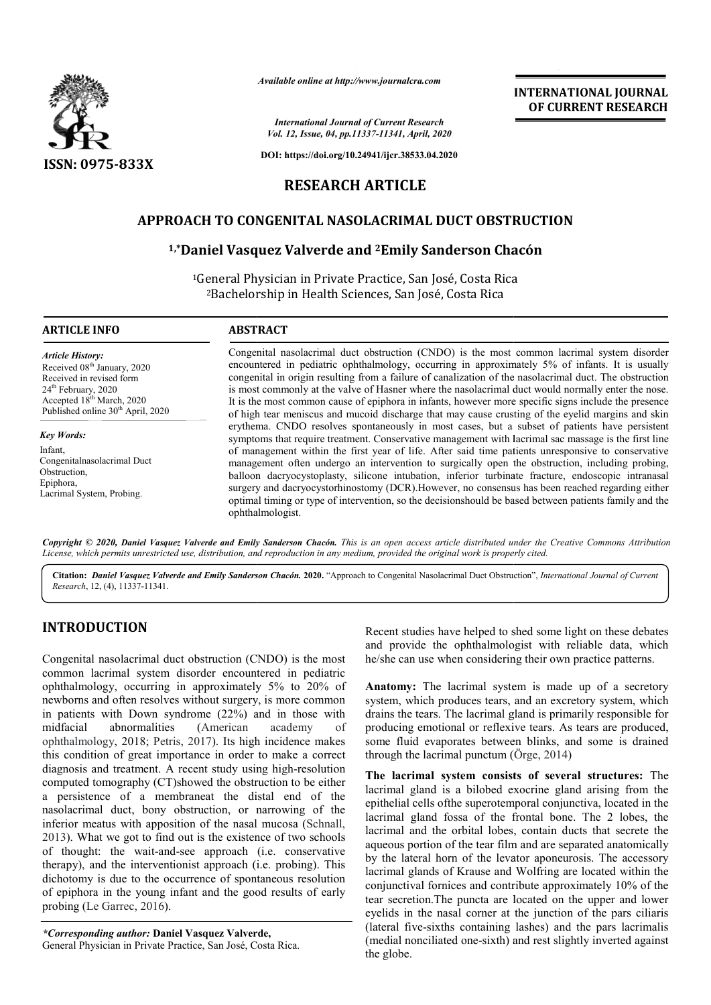

*Available online at http://www.journalcra.com*

*International Journal of Current Research Vol. 12, Issue, 04, pp.11337-11341, April, 2020*

**DOI: https://doi.org/10.24941/ijcr.38533.04.2020**

# **RESEARCH ARTICLE**

## **APPROACH TO CONGENITAL NASOLACRIMAL DUCT OBSTRUCTION CONGENITAL**

## **1,\*Daniel Vasquez Valverde and Daniel 2Emily Sanderson Chacón Emily**

<sup>1</sup>General Physician in Private Practice, San José, Costa Rica<br><sup>2</sup>Bachelorship in Health Sciences, San José, Costa Rica 2Bachelorship in Health Sciences, San José, Costa Rica

### **ARTICLE INFO ABSTRACT**

*Article History:* Received 08<sup>th</sup> January, 2020 Received in revised form 24<sup>th</sup> February, 2020 Accepted 18<sup>th</sup> March, 2020 Published online 30<sup>th</sup> April, 2020

*Key Words:* Infant, Congenitalnasolacrimal Duct Obstruction, Epiphora, Lacrimal System, Probing.

Congenital nasolacrimal duct obstruction (CNDO) is the most common lacrimal system disorder encountered in pediatric ophthalmology, occurring in approximately 5% of infants. It is usually congenital in origin resulting from a failure of canalization of the nasolacrimal duct. The obstruction is most commonly at the valve of Hasner where the nasolacrimal duct would normally enter the nose. It is the most common cause of epiphora in infants, however more specific signs include the presence of high tear meniscus and mucoid discharge that may cause crusting of the eyelid margins and skin erythema. CNDO resolves spontaneously in most cases, but a subset of patients have persistent symptoms that require treatment. Conservative management with lacrimal sac massage is the first line of management within the first year of life. After said time patients unresponsive to conservative management often undergo an intervention to surgically open the obstruction, including probing, balloon dacryocystoplasty, silicone intubation, inferior turbinate fracture, endoscopic intranasal surgery and dacryocystorhinostomy (DCR).However, no consensus has been reached regarding either optimal timing or type of intervention, so the decisionshould be based between patient ophthalmologist. f high tear meniscus and mucoid discharge that may cause crusting of the eyelid margins and skin<br>rythema. CNDO resolves spontaneously in most cases, but a subset of patients have persistent<br>ymptoms that require treatment. Congenital nasolacrimal duct obstruction (CNDO) is the most common lacrimal system disorder encountered in pediatric ophthalmology, occurring in approximately 5% of infants. It is usually congenital in origin resulting fro of management within the first year of life. After said time patients unresponsive to conservative management often undergo an intervention to surgically open the obstruction, including probing, balloon dacryocystorhinosto

Copyright © 2020, Daniel Vasquez Valverde and Emily Sanderson Chacón. This is an open access article distributed under the Creative Commons Attribution License, which permits unrestricted use, distribution, and reproduction in any medium, provided the original work is properly cited.

Cit**ation:** *Daniel Vasquez Valverde and Emily Sanderson Chacón.* **2020. "Approach to Congenital Nasolacrimal Duct Obstruction",** *International Journal of Current Research*, 12, (4), 11337-11341.

## **INTRODUCTION**

Congenital nasolacrimal duct obstruction (CNDO) is the most common lacrimal system disorder encountered in pediatric ophthalmology, occurring in approximately 5% to 20% of newborns and often resolves without surgery, is more common in patients with Down syndrome (22%) and in those with<br>midfacial abnormalities (American academy of abnormalities (American academy of ophthalmology, 2018; Petris, 2017). Its high incidence makes this condition of great importance in order to make a correct diagnosis and treatment. A recent study using high-resolution computed tomography (CT)showed the obstruction to be either a persistence of a membraneat the distal end of the nasolacrimal duct, bony obstruction, or narrowing of the inferior meatus with apposition of the nasal mucosa (Schnall, 2013). What we got to find out is the existence of two schools of thought: the wait-and-see approach (i.e. conservative therapy), and the interventionist approach (i.e. probing). This dichotomy is due to the occurrence of spontaneous resolution of epiphora in the young infant and the good results of early probing (Le Garrec, 2016). American academy of<br>17). Its high-incidence makes<br>ce in order to make a correct<br>nt study using high-resolution ). What we got to find out is<br>hought: the wait-and-see<br>py), and the interventionist<br>botomy is due to the occurre

*\*Corresponding author:* **Daniel Vasquez Valverde Valverde,** General Physician in Private Practice, San José, Costa Rica Rica. Recent studies have helped to shed some light on these debates and provide the ophthalmologist with reliable data, which he/she can use when considering their own practice patterns.

**INTERNATIONAL JOURNAL OF CURRENT RESEARCH**

**Anatomy:** The lacrimal system is made up of a secretory system, which produces tears, and an excretory system, which drains the tears. The lacrimal gland is primarily responsible for producing emotional or reflexive tears. As tears are produced, some fluid evaporates between blinks, and some is drained through the lacrimal punctum (Örge, 2014) Recent studies have helped to shed some light on these debates<br>and provide the ophthalmologist with reliable data, which<br>he/she can use when considering their own practice patterns.<br>**Anatomy:** The lacrimal system is made u

**The lacrimal system consists of several structures:** The lacrimal gland is a bilobed exocrine gland arising from the epithelial cells ofthe superotemporal conjunctiva, located in the lacrimal gland fossa of the frontal bone. The 2 lobes, the lacrimal and the orbital lobes, contain ducts that secrete the aqueous portion of the tear film and are separated anatomically by the lateral horn of the levator aponeurosis. The accessory lacrimal glands of Krause and Wolfring are located within the conjunctival fornices and contribute approximately 10% of the tear secretion.The puncta are located on the upper and lower eyelids in the nasal corner at the junction of the pars ciliaris (lateral five-sixths containing lashes) and the pars lacrimalis (medial nonciliated one-sixth) and rest slightly inverted against the globe. **EXERCTI CON COURRENT IDNAL JOUENNAL FORM CONTROL CONTRIBUTE THE CONTRIBUTE CONTRIBUTE CONTRIBUTE (CNDC)** is the must common lacriminal system discorders on the glands Costa Rice (San (DoSé, Costa Rice ous lateral The glan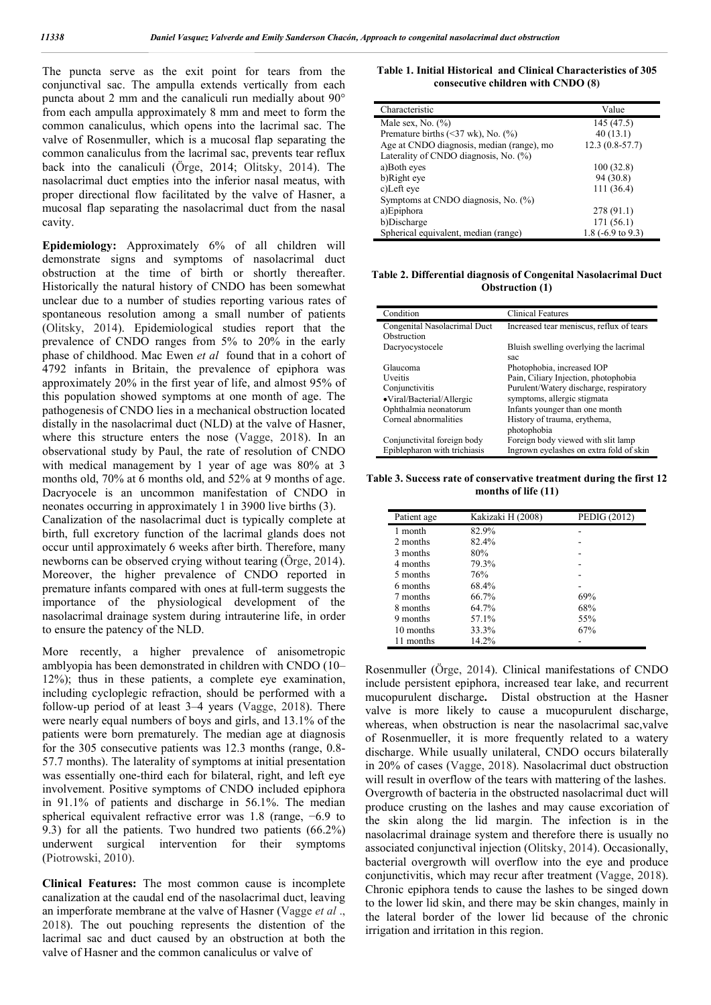The puncta serve as the exit point for tears from the conjunctival sac. The ampulla extends vertically from each puncta about 2 mm and the canaliculi run medially about 90° from each ampulla approximately 8 mm and meet to form the common canaliculus, which opens into the lacrimal sac. The valve of Rosenmuller, which is a mucosal flap separating the common canaliculus from the lacrimal sac, prevents tear reflux back into the canaliculi (Örge, 2014; Olitsky, 2014). The nasolacrimal duct empties into the inferior nasal meatus, with proper directional flow facilitated by the valve of Hasner, a mucosal flap separating the nasolacrimal duct from the nasal cavity.

**Epidemiology:** Approximately 6% of all children will demonstrate signs and symptoms of nasolacrimal duct obstruction at the time of birth or shortly thereafter. Historically the natural history of CNDO has been somewhat unclear due to a number of studies reporting various rates of spontaneous resolution among a small number of patients (Olitsky, 2014). Epidemiological studies report that the prevalence of CNDO ranges from 5% to 20% in the early phase of childhood. Mac Ewen *et al* found that in a cohort of 4792 infants in Britain, the prevalence of epiphora was approximately 20% in the first year of life, and almost 95% of this population showed symptoms at one month of age. The pathogenesis of CNDO lies in a mechanical obstruction located distally in the nasolacrimal duct (NLD) at the valve of Hasner, where this structure enters the nose (Vagge, 2018). In an observational study by Paul, the rate of resolution of CNDO with medical management by 1 year of age was 80% at 3 months old, 70% at 6 months old, and 52% at 9 months of age. Dacryocele is an uncommon manifestation of CNDO in neonates occurring in approximately 1 in 3900 live births (3).

Canalization of the nasolacrimal duct is typically complete at birth, full excretory function of the lacrimal glands does not occur until approximately 6 weeks after birth. Therefore, many newborns can be observed crying without tearing (Örge, 2014). Moreover, the higher prevalence of CNDO reported in premature infants compared with ones at full-term suggests the importance of the physiological development of the nasolacrimal drainage system during intrauterine life, in order to ensure the patency of the NLD.

More recently, a higher prevalence of anisometropic amblyopia has been demonstrated in children with CNDO (10– 12%); thus in these patients, a complete eye examination, including cycloplegic refraction, should be performed with a follow-up period of at least 3–4 years (Vagge, 2018). There were nearly equal numbers of boys and girls, and 13.1% of the patients were born prematurely. The median age at diagnosis for the 305 consecutive patients was 12.3 months (range, 0.8- 57.7 months). The laterality of symptoms at initial presentation was essentially one-third each for bilateral, right, and left eye involvement. Positive symptoms of CNDO included epiphora in 91.1% of patients and discharge in 56.1%. The median spherical equivalent refractive error was 1.8 (range, −6.9 to 9.3) for all the patients. Two hundred two patients (66.2%) underwent surgical intervention for their symptoms (Piotrowski, 2010).

**Clinical Features:** The most common cause is incomplete canalization at the caudal end of the nasolacrimal duct, leaving an imperforate membrane at the valve of Hasner (Vagge *et al* ., 2018). The out pouching represents the distention of the lacrimal sac and duct caused by an obstruction at both the valve of Hasner and the common canaliculus or valve of

| Table 1. Initial Historical and Clinical Characteristics of 305 |  |  |
|-----------------------------------------------------------------|--|--|
| consecutive children with CNDO (8)                              |  |  |

| Characteristic                                       | Value                        |
|------------------------------------------------------|------------------------------|
| Male sex, No. $(\% )$                                | 145 (47.5)                   |
| Premature births $(\leq 37 \text{ wk})$ , No. $(\%)$ | 40(13.1)                     |
| Age at CNDO diagnosis, median (range), mo            | $12.3(0.8-57.7)$             |
| Laterality of CNDO diagnosis, No. (%)                |                              |
| a)Both eyes                                          | 100(32.8)                    |
| b)Right eye                                          | 94 (30.8)                    |
| c)Left eye                                           | 111 (36.4)                   |
| Symptoms at CNDO diagnosis, No. (%)                  |                              |
| a)Epiphora                                           | 278 (91.1)                   |
| b)Discharge                                          | 171 (56.1)                   |
| Spherical equivalent, median (range)                 | 1.8 $(-6.9 \text{ to } 9.3)$ |

**Table 2. Differential diagnosis of Congenital Nasolacrimal Duct Obstruction (1)**

| Condition                    | <b>Clinical Features</b>                      |
|------------------------------|-----------------------------------------------|
| Congenital Nasolacrimal Duct | Increased tear meniscus, reflux of tears      |
| Obstruction                  |                                               |
| Dacryocystocele              | Bluish swelling overlying the lacrimal<br>sac |
| Glaucoma                     |                                               |
|                              | Photophobia, increased IOP                    |
| Uveitis                      | Pain, Ciliary Injection, photophobia          |
| Conjunctivitis               | Purulent/Watery discharge, respiratory        |
| •Viral/Bacterial/Allergic    | symptoms, allergic stigmata                   |
| Ophthalmia neonatorum        | Infants younger than one month                |
| Corneal abnormalities        | History of trauma, erythema,                  |
|                              | photophobia                                   |
| Conjunctivital foreign body  | Foreign body viewed with slit lamp            |
| Epiblepharon with trichiasis | Ingrown eyelashes on extra fold of skin       |

**Table 3. Success rate of conservative treatment during the first 12 months of life (11)**

| Patient age | Kakizaki H (2008) | <b>PEDIG (2012)</b> |
|-------------|-------------------|---------------------|
| 1 month     | 82.9%             |                     |
| 2 months    | 82.4%             |                     |
| 3 months    | 80%               |                     |
| 4 months    | 79.3%             |                     |
| 5 months    | 76%               |                     |
| 6 months    | 68.4%             |                     |
| 7 months    | 66.7%             | 69%                 |
| 8 months    | 64.7%             | 68%                 |
| 9 months    | 57.1%             | 55%                 |
| 10 months   | 33.3%             | 67%                 |
| 11 months   | 14.2%             |                     |

Rosenmuller (Örge, 2014). Clinical manifestations of CNDO include persistent epiphora, increased tear lake, and recurrent mucopurulent discharge**.** Distal obstruction at the Hasner valve is more likely to cause a mucopurulent discharge, whereas, when obstruction is near the nasolacrimal sac,valve of Rosenmueller, it is more frequently related to a watery discharge. While usually unilateral, CNDO occurs bilaterally in 20% of cases (Vagge, 2018). Nasolacrimal duct obstruction will result in overflow of the tears with mattering of the lashes. Overgrowth of bacteria in the obstructed nasolacrimal duct will produce crusting on the lashes and may cause excoriation of the skin along the lid margin. The infection is in the nasolacrimal drainage system and therefore there is usually no associated conjunctival injection (Olitsky, 2014). Occasionally, bacterial overgrowth will overflow into the eye and produce conjunctivitis, which may recur after treatment (Vagge, 2018). Chronic epiphora tends to cause the lashes to be singed down to the lower lid skin, and there may be skin changes, mainly in the lateral border of the lower lid because of the chronic irrigation and irritation in this region.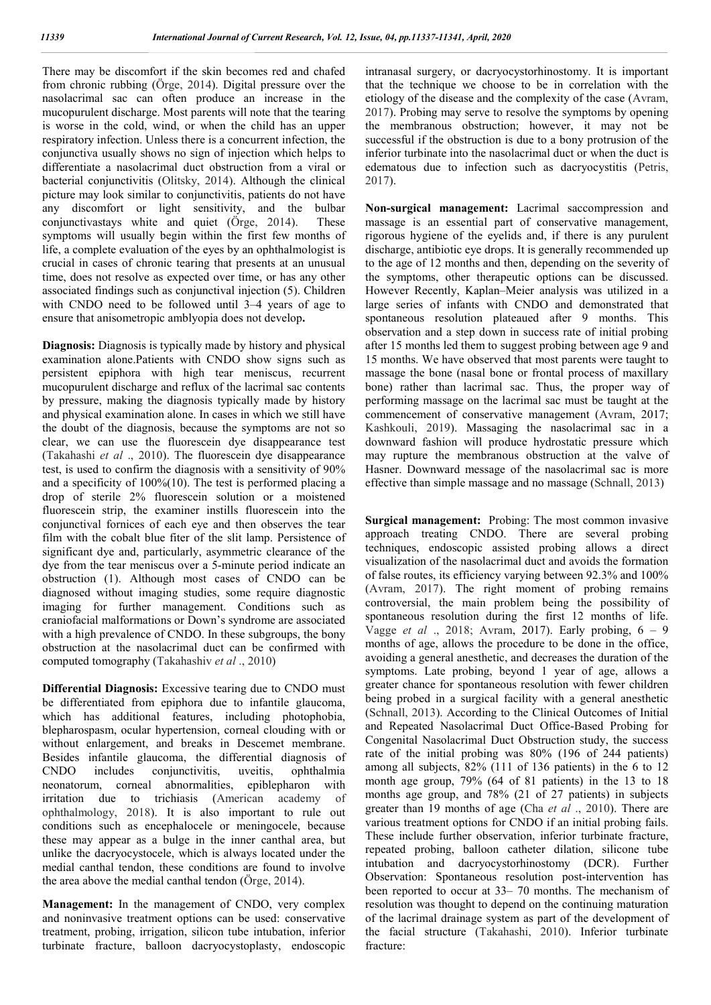There may be discomfort if the skin becomes red and chafed from chronic rubbing (Örge, 2014). Digital pressure over the nasolacrimal sac can often produce an increase in the mucopurulent discharge. Most parents will note that the tearing is worse in the cold, wind, or when the child has an upper respiratory infection. Unless there is a concurrent infection, the conjunctiva usually shows no sign of injection which helps to differentiate a nasolacrimal duct obstruction from a viral or bacterial conjunctivitis (Olitsky, 2014). Although the clinical picture may look similar to conjunctivitis, patients do not have any discomfort or light sensitivity, and the bulbar conjunctivastays white and quiet (Örge, 2014). These symptoms will usually begin within the first few months of life, a complete evaluation of the eyes by an ophthalmologist is crucial in cases of chronic tearing that presents at an unusual time, does not resolve as expected over time, or has any other associated findings such as conjunctival injection (5). Children with CNDO need to be followed until 3–4 years of age to ensure that anisometropic amblyopia does not develop**.** 

**Diagnosis:** Diagnosis is typically made by history and physical examination alone.Patients with CNDO show signs such as persistent epiphora with high tear meniscus, recurrent mucopurulent discharge and reflux of the lacrimal sac contents by pressure, making the diagnosis typically made by history and physical examination alone. In cases in which we still have the doubt of the diagnosis, because the symptoms are not so clear, we can use the fluorescein dye disappearance test (Takahashi *et al* ., 2010). The fluorescein dye disappearance test, is used to confirm the diagnosis with a sensitivity of 90% and a specificity of 100%(10). The test is performed placing a drop of sterile 2% fluorescein solution or a moistened fluorescein strip, the examiner instills fluorescein into the conjunctival fornices of each eye and then observes the tear film with the cobalt blue fiter of the slit lamp. Persistence of significant dye and, particularly, asymmetric clearance of the dye from the tear meniscus over a 5-minute period indicate an obstruction (1). Although most cases of CNDO can be diagnosed without imaging studies, some require diagnostic imaging for further management. Conditions such as craniofacial malformations or Down's syndrome are associated with a high prevalence of CNDO. In these subgroups, the bony obstruction at the nasolacrimal duct can be confirmed with computed tomography (Takahashiv *et al* ., 2010)

**Differential Diagnosis:** Excessive tearing due to CNDO must be differentiated from epiphora due to infantile glaucoma, which has additional features, including photophobia, blepharospasm, ocular hypertension, corneal clouding with or without enlargement, and breaks in Descemet membrane. Besides infantile glaucoma, the differential diagnosis of CNDO includes conjunctivitis, uveitis, ophthalmia neonatorum, corneal abnormalities, epiblepharon with irritation due to trichiasis (American academy of ophthalmology, 2018). It is also important to rule out conditions such as encephalocele or meningocele, because these may appear as a bulge in the inner canthal area, but unlike the dacryocystocele, which is always located under the medial canthal tendon, these conditions are found to involve the area above the medial canthal tendon (Örge, 2014).

**Management:** In the management of CNDO, very complex and noninvasive treatment options can be used: conservative treatment, probing, irrigation, silicon tube intubation, inferior turbinate fracture, balloon dacryocystoplasty, endoscopic

intranasal surgery, or dacryocystorhinostomy. It is important that the technique we choose to be in correlation with the etiology of the disease and the complexity of the case (Avram, 2017). Probing may serve to resolve the symptoms by opening the membranous obstruction; however, it may not be successful if the obstruction is due to a bony protrusion of the inferior turbinate into the nasolacrimal duct or when the duct is edematous due to infection such as dacryocystitis (Petris, 2017).

**Non-surgical management:** Lacrimal saccompression and massage is an essential part of conservative management, rigorous hygiene of the eyelids and, if there is any purulent discharge, antibiotic eye drops. It is generally recommended up to the age of 12 months and then, depending on the severity of the symptoms, other therapeutic options can be discussed. However Recently, Kaplan–Meier analysis was utilized in a large series of infants with CNDO and demonstrated that spontaneous resolution plateaued after 9 months. This observation and a step down in success rate of initial probing after 15 months led them to suggest probing between age 9 and 15 months. We have observed that most parents were taught to massage the bone (nasal bone or frontal process of maxillary bone) rather than lacrimal sac. Thus, the proper way of performing massage on the lacrimal sac must be taught at the commencement of conservative management (Avram, 2017; Kashkouli, 2019). Massaging the nasolacrimal sac in a downward fashion will produce hydrostatic pressure which may rupture the membranous obstruction at the valve of Hasner. Downward message of the nasolacrimal sac is more effective than simple massage and no massage (Schnall, 2013)

**Surgical management:** Probing: The most common invasive approach treating CNDO. There are several probing techniques, endoscopic assisted probing allows a direct visualization of the nasolacrimal duct and avoids the formation of false routes, its efficiency varying between 92.3% and 100% (Avram, 2017). The right moment of probing remains controversial, the main problem being the possibility of spontaneous resolution during the first 12 months of life. Vagge *et al* ., 2018; Avram, 2017). Early probing, 6 – 9 months of age, allows the procedure to be done in the office, avoiding a general anesthetic, and decreases the duration of the symptoms. Late probing, beyond 1 year of age, allows a greater chance for spontaneous resolution with fewer children being probed in a surgical facility with a general anesthetic (Schnall, 2013). According to the Clinical Outcomes of Initial and Repeated Nasolacrimal Duct Office-Based Probing for Congenital Nasolacrimal Duct Obstruction study, the success rate of the initial probing was 80% (196 of 244 patients) among all subjects, 82% (111 of 136 patients) in the 6 to 12 month age group, 79% (64 of 81 patients) in the 13 to 18 months age group, and 78% (21 of 27 patients) in subjects greater than 19 months of age (Cha *et al* ., 2010). There are various treatment options for CNDO if an initial probing fails. These include further observation, inferior turbinate fracture, repeated probing, balloon catheter dilation, silicone tube intubation and dacryocystorhinostomy (DCR). Further Observation: Spontaneous resolution post-intervention has been reported to occur at 33– 70 months. The mechanism of resolution was thought to depend on the continuing maturation of the lacrimal drainage system as part of the development of the facial structure (Takahashi, 2010). Inferior turbinate fracture: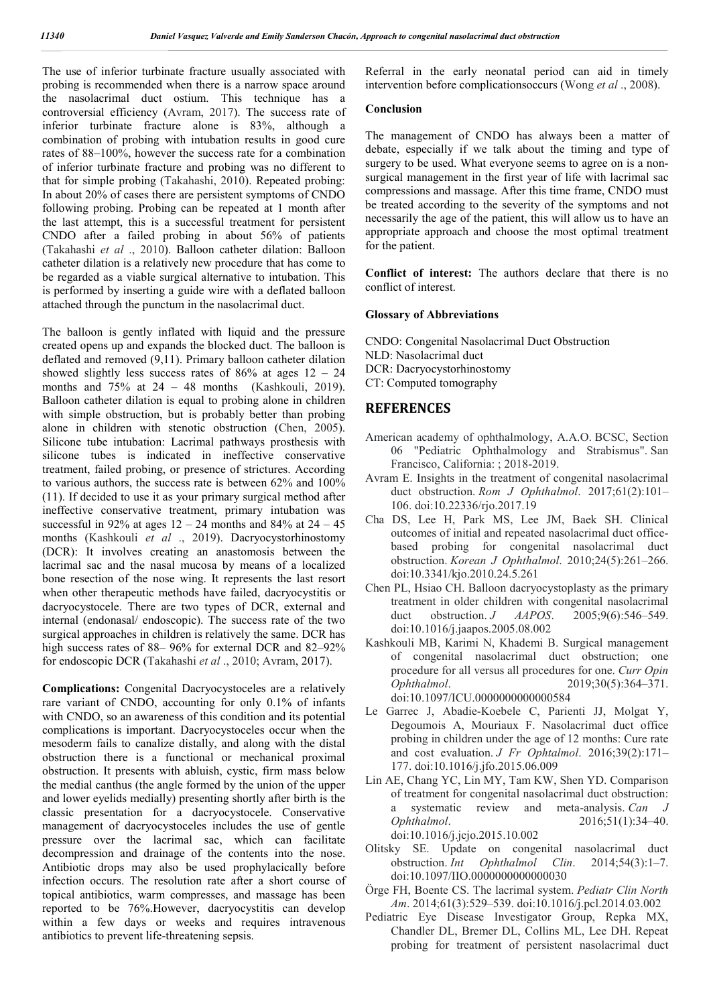The use of inferior turbinate fracture usually associated with probing is recommended when there is a narrow space around the nasolacrimal duct ostium. This technique has a controversial efficiency (Avram, 2017). The success rate of inferior turbinate fracture alone is 83%, although a combination of probing with intubation results in good cure rates of 88–100%, however the success rate for a combination of inferior turbinate fracture and probing was no different to that for simple probing (Takahashi, 2010). Repeated probing: In about 20% of cases there are persistent symptoms of CNDO following probing. Probing can be repeated at 1 month after the last attempt, this is a successful treatment for persistent CNDO after a failed probing in about 56% of patients (Takahashi *et al* ., 2010). Balloon catheter dilation: Balloon catheter dilation is a relatively new procedure that has come to be regarded as a viable surgical alternative to intubation. This is performed by inserting a guide wire with a deflated balloon attached through the punctum in the nasolacrimal duct.

The balloon is gently inflated with liquid and the pressure created opens up and expands the blocked duct. The balloon is deflated and removed (9,11). Primary balloon catheter dilation showed slightly less success rates of  $86\%$  at ages  $12 - 24$ months and 75% at 24 – 48 months (Kashkouli, 2019). Balloon catheter dilation is equal to probing alone in children with simple obstruction, but is probably better than probing alone in children with stenotic obstruction (Chen, 2005). Silicone tube intubation: Lacrimal pathways prosthesis with silicone tubes is indicated in ineffective conservative treatment, failed probing, or presence of strictures. According to various authors, the success rate is between 62% and 100% (11). If decided to use it as your primary surgical method after ineffective conservative treatment, primary intubation was successful in 92% at ages  $12 - 24$  months and 84% at  $24 - 45$ months (Kashkouli *et al* ., 2019). Dacryocystorhinostomy (DCR): It involves creating an anastomosis between the lacrimal sac and the nasal mucosa by means of a localized bone resection of the nose wing. It represents the last resort when other therapeutic methods have failed, dacryocystitis or dacryocystocele. There are two types of DCR, external and internal (endonasal/ endoscopic). The success rate of the two surgical approaches in children is relatively the same. DCR has high success rates of 88– 96% for external DCR and 82–92% for endoscopic DCR (Takahashi *et al* ., 2010; Avram, 2017).

**Complications:** Congenital Dacryocystoceles are a relatively rare variant of CNDO, accounting for only 0.1% of infants with CNDO, so an awareness of this condition and its potential complications is important. Dacryocystoceles occur when the mesoderm fails to canalize distally, and along with the distal obstruction there is a functional or mechanical proximal obstruction. It presents with abluish, cystic, firm mass below the medial canthus (the angle formed by the union of the upper and lower eyelids medially) presenting shortly after birth is the classic presentation for a dacryocystocele. Conservative management of dacryocystoceles includes the use of gentle pressure over the lacrimal sac, which can facilitate decompression and drainage of the contents into the nose. Antibiotic drops may also be used prophylacically before infection occurs. The resolution rate after a short course of topical antibiotics, warm compresses, and massage has been reported to be 76%.However, dacryocystitis can develop within a few days or weeks and requires intravenous antibiotics to prevent life-threatening sepsis.

Referral in the early neonatal period can aid in timely intervention before complicationsoccurs (Wong *et al* ., 2008).

### **Conclusion**

The management of CNDO has always been a matter of debate, especially if we talk about the timing and type of surgery to be used. What everyone seems to agree on is a nonsurgical management in the first year of life with lacrimal sac compressions and massage. After this time frame, CNDO must be treated according to the severity of the symptoms and not necessarily the age of the patient, this will allow us to have an appropriate approach and choose the most optimal treatment for the patient.

**Conflict of interest:** The authors declare that there is no conflict of interest.

### **Glossary of Abbreviations**

CNDO: Congenital Nasolacrimal Duct Obstruction

NLD: Nasolacrimal duct

DCR: Dacryocystorhinostomy

CT: Computed tomography

### **REFERENCES**

- American academy of ophthalmology, A.A.O. BCSC, Section 06 "Pediatric Ophthalmology and Strabismus". San Francisco, California: ; 2018-2019.
- Avram E. Insights in the treatment of congenital nasolacrimal duct obstruction. *Rom J Ophthalmol*. 2017;61(2):101– 106. doi:10.22336/rjo.2017.19
- Cha DS, Lee H, Park MS, Lee JM, Baek SH. Clinical outcomes of initial and repeated nasolacrimal duct officebased probing for congenital nasolacrimal duct obstruction. *Korean J Ophthalmol*. 2010;24(5):261–266. doi:10.3341/kjo.2010.24.5.261
- Chen PL, Hsiao CH. Balloon dacryocystoplasty as the primary treatment in older children with congenital nasolacrimal duct obstruction. *J AAPOS*. 2005;9(6):546–549. doi:10.1016/j.jaapos.2005.08.002
- Kashkouli MB, Karimi N, Khademi B. Surgical management of congenital nasolacrimal duct obstruction; one procedure for all versus all procedures for one. *Curr Opin Ophthalmol*. 2019;30(5):364–371. doi:10.1097/ICU.0000000000000584
- Le Garrec J, Abadie-Koebele C, Parienti JJ, Molgat Y, Degoumois A, Mouriaux F. Nasolacrimal duct office probing in children under the age of 12 months: Cure rate and cost evaluation. *J Fr Ophtalmol*. 2016;39(2):171– 177. doi:10.1016/j.jfo.2015.06.009
- Lin AE, Chang YC, Lin MY, Tam KW, Shen YD. Comparison of treatment for congenital nasolacrimal duct obstruction: a systematic review and meta-analysis. *Can J Ophthalmol*. 2016;51(1):34–40. doi:10.1016/j.jcjo.2015.10.002
- Olitsky SE. Update on congenital nasolacrimal duct obstruction. *Int Ophthalmol Clin*. 2014;54(3):1–7. doi:10.1097/IIO.0000000000000030
- Örge FH, Boente CS. The lacrimal system. *Pediatr Clin North Am*. 2014;61(3):529–539. doi:10.1016/j.pcl.2014.03.002
- Pediatric Eye Disease Investigator Group, Repka MX, Chandler DL, Bremer DL, Collins ML, Lee DH. Repeat probing for treatment of persistent nasolacrimal duct